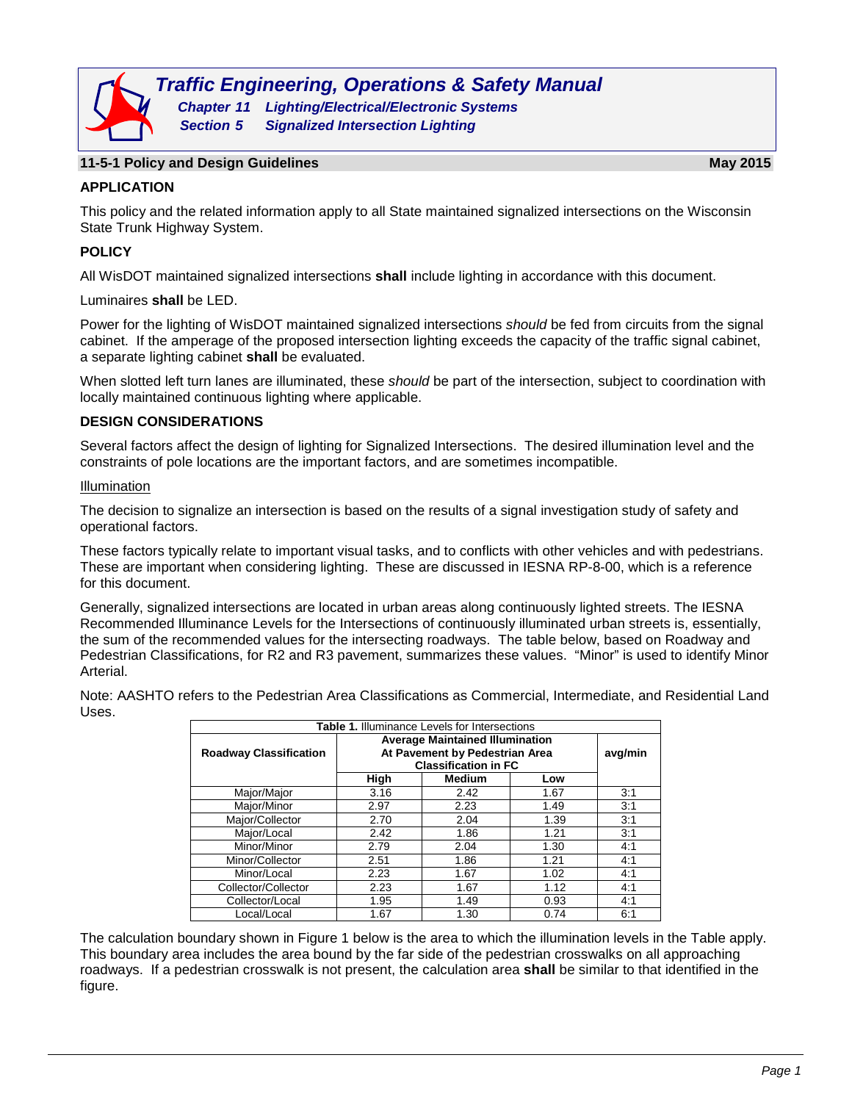

### **11-5-1 Policy and Design Guidelines May 2015**

## **APPLICATION**

This policy and the related information apply to all State maintained signalized intersections on the Wisconsin State Trunk Highway System.

## **POLICY**

All WisDOT maintained signalized intersections **shall** include lighting in accordance with this document.

Luminaires **shall** be LED.

Power for the lighting of WisDOT maintained signalized intersections *should* be fed from circuits from the signal cabinet. If the amperage of the proposed intersection lighting exceeds the capacity of the traffic signal cabinet, a separate lighting cabinet **shall** be evaluated.

When slotted left turn lanes are illuminated, these *should* be part of the intersection, subject to coordination with locally maintained continuous lighting where applicable.

### **DESIGN CONSIDERATIONS**

Several factors affect the design of lighting for Signalized Intersections. The desired illumination level and the constraints of pole locations are the important factors, and are sometimes incompatible.

### Illumination

The decision to signalize an intersection is based on the results of a signal investigation study of safety and operational factors.

These factors typically relate to important visual tasks, and to conflicts with other vehicles and with pedestrians. These are important when considering lighting. These are discussed in IESNA RP-8-00, which is a reference for this document.

Generally, signalized intersections are located in urban areas along continuously lighted streets. The IESNA Recommended Illuminance Levels for the Intersections of continuously illuminated urban streets is, essentially, the sum of the recommended values for the intersecting roadways. The table below, based on Roadway and Pedestrian Classifications, for R2 and R3 pavement, summarizes these values. "Minor" is used to identify Minor Arterial.

Note: AASHTO refers to the Pedestrian Area Classifications as Commercial, Intermediate, and Residential Land Uses.

| Table 1. Illuminance Levels for Intersections |                                                                                                         |               |      |     |  |  |
|-----------------------------------------------|---------------------------------------------------------------------------------------------------------|---------------|------|-----|--|--|
| <b>Roadway Classification</b>                 | <b>Average Maintained Illumination</b><br>At Pavement by Pedestrian Area<br><b>Classification in FC</b> | avg/min       |      |     |  |  |
|                                               | High                                                                                                    | <b>Medium</b> | Low  |     |  |  |
| Major/Major                                   | 3.16                                                                                                    | 2.42          | 1.67 | 3:1 |  |  |
| Major/Minor                                   | 2.97                                                                                                    | 2.23          | 1.49 | 3:1 |  |  |
| Major/Collector                               | 2.70                                                                                                    | 2.04          | 1.39 | 3:1 |  |  |
| Major/Local                                   | 2.42                                                                                                    | 1.86          | 1.21 | 3:1 |  |  |
| Minor/Minor                                   | 2.79                                                                                                    | 2.04          | 1.30 | 4:1 |  |  |
| Minor/Collector                               | 2.51                                                                                                    | 1.86          | 1.21 | 4:1 |  |  |
| Minor/Local                                   | 2.23                                                                                                    | 1.67          | 1.02 | 4:1 |  |  |
| Collector/Collector                           | 2.23                                                                                                    | 1.67          | 1.12 | 4:1 |  |  |
| Collector/Local                               | 1.95                                                                                                    | 1.49          | 0.93 | 4:1 |  |  |
| Local/Local                                   | 1.67                                                                                                    | 1.30          | 0.74 | 6:1 |  |  |

The calculation boundary shown in Figure 1 below is the area to which the illumination levels in the Table apply. This boundary area includes the area bound by the far side of the pedestrian crosswalks on all approaching roadways. If a pedestrian crosswalk is not present, the calculation area **shall** be similar to that identified in the figure.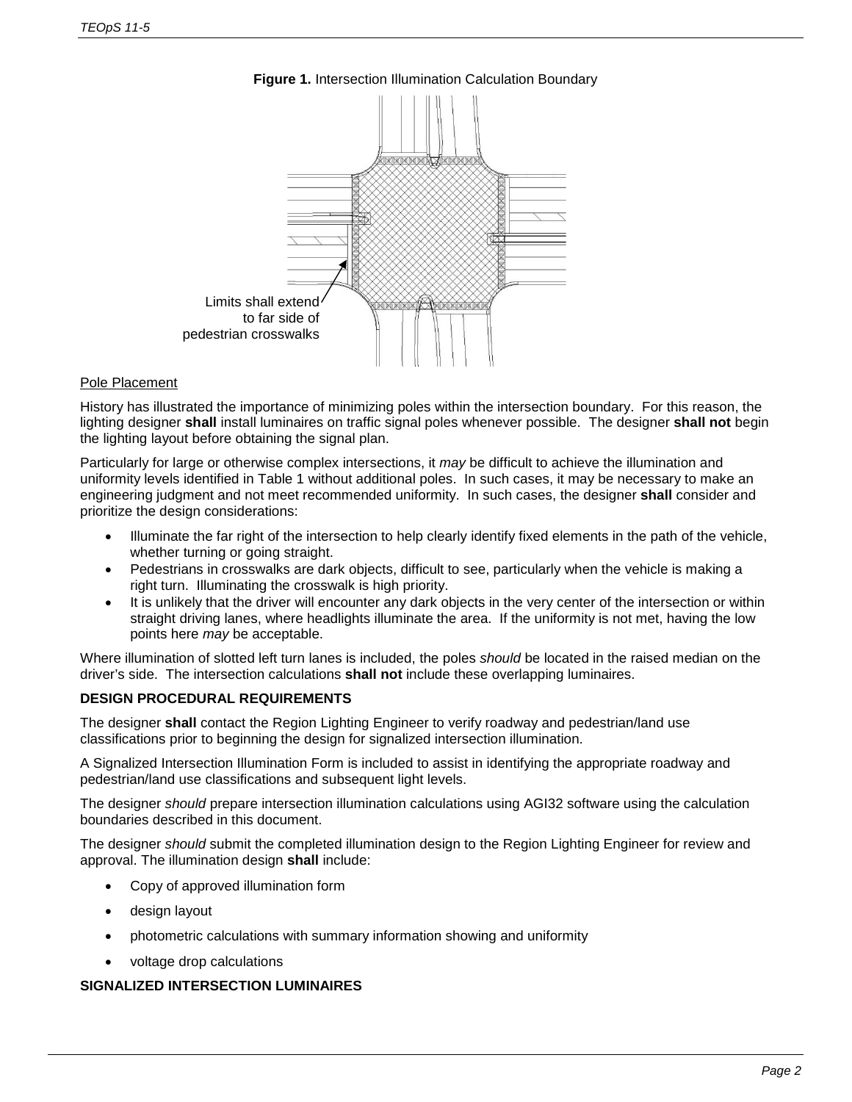

# **Figure 1.** Intersection Illumination Calculation Boundary

## Pole Placement

History has illustrated the importance of minimizing poles within the intersection boundary. For this reason, the lighting designer **shall** install luminaires on traffic signal poles whenever possible. The designer **shall not** begin the lighting layout before obtaining the signal plan.

Particularly for large or otherwise complex intersections, it *may* be difficult to achieve the illumination and uniformity levels identified in Table 1 without additional poles. In such cases, it may be necessary to make an engineering judgment and not meet recommended uniformity. In such cases, the designer **shall** consider and prioritize the design considerations:

- Illuminate the far right of the intersection to help clearly identify fixed elements in the path of the vehicle, whether turning or going straight.
- Pedestrians in crosswalks are dark objects, difficult to see, particularly when the vehicle is making a right turn. Illuminating the crosswalk is high priority.
- It is unlikely that the driver will encounter any dark objects in the very center of the intersection or within straight driving lanes, where headlights illuminate the area. If the uniformity is not met, having the low points here *may* be acceptable.

Where illumination of slotted left turn lanes is included, the poles *should* be located in the raised median on the driver's side. The intersection calculations **shall not** include these overlapping luminaires.

## **DESIGN PROCEDURAL REQUIREMENTS**

The designer **shall** contact the Region Lighting Engineer to verify roadway and pedestrian/land use classifications prior to beginning the design for signalized intersection illumination.

A Signalized Intersection Illumination Form is included to assist in identifying the appropriate roadway and pedestrian/land use classifications and subsequent light levels.

The designer *should* prepare intersection illumination calculations using AGI32 software using the calculation boundaries described in this document.

The designer *should* submit the completed illumination design to the Region Lighting Engineer for review and approval. The illumination design **shall** include:

- Copy of approved illumination form
- design layout
- photometric calculations with summary information showing and uniformity
- voltage drop calculations

### **SIGNALIZED INTERSECTION LUMINAIRES**